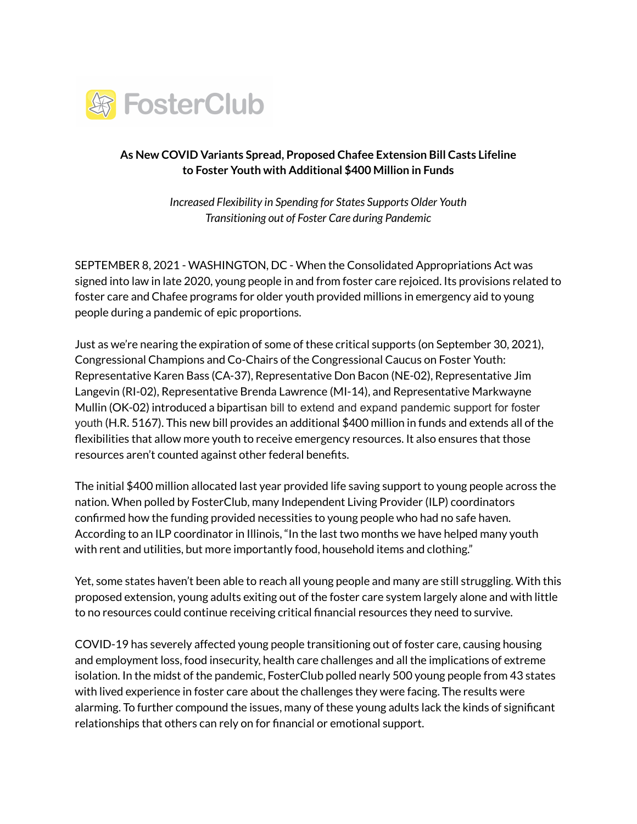

## **As New COVID Variants Spread, Proposed Chafee Extension Bill Casts Lifeline to Foster Youth with Additional \$400 Million in Funds**

*Increased Flexibility in Spending for States Supports Older Youth Transitioning out of Foster Care during Pandemic*

SEPTEMBER 8, 2021 - WASHINGTON, DC - When the Consolidated Appropriations Act was signed into law in late 2020, young people in and from foster care rejoiced. Its provisions related to foster care and Chafee programs for older youth provided millions in emergency aid to young people during a pandemic of epic proportions.

Just as we're nearing the expiration of some of these critical supports (on September 30, 2021), Congressional Champions and Co-Chairs of the Congressional Caucus on Foster Youth: Representative Karen Bass (CA-37), Representative Don Bacon (NE-02), Representative Jim Langevin (RI-02), Representative Brenda Lawrence (MI-14), and Representative Markwayne Mullin (OK-02) introduced a bipartisan bill to extend and expand pandemic support for foster youth (H.R. 5167). This new bill provides an additional \$400 million in funds and extends all of the flexibilities that allow more youth to receive emergency resources. It also ensures that those resources aren't counted against other federal benefits.

The initial \$400 million allocated last year provided life saving support to young people across the nation. When polled by FosterClub, many Independent Living Provider (ILP) coordinators confirmed how the funding provided necessities to young people who had no safe haven. According to an ILP coordinator in Illinois, "In the last two months we have helped many youth with rent and utilities, but more importantly food, household items and clothing."

Yet, some states haven't been able to reach all young people and many are still struggling. With this proposed extension, young adults exiting out of the foster care system largely alone and with little to no resources could continue receiving critical financial resources they need to survive.

COVID-19 has severely affected young people transitioning out of foster care, causing housing and employment loss, food insecurity, health care challenges and all the implications of extreme isolation. In the midst of the pandemic, FosterClub polled nearly 500 young people from 43 states with lived experience in foster care about the challenges they were facing. The results were alarming. To further compound the issues, many of these young adults lack the kinds of significant relationships that others can rely on for financial or emotional support.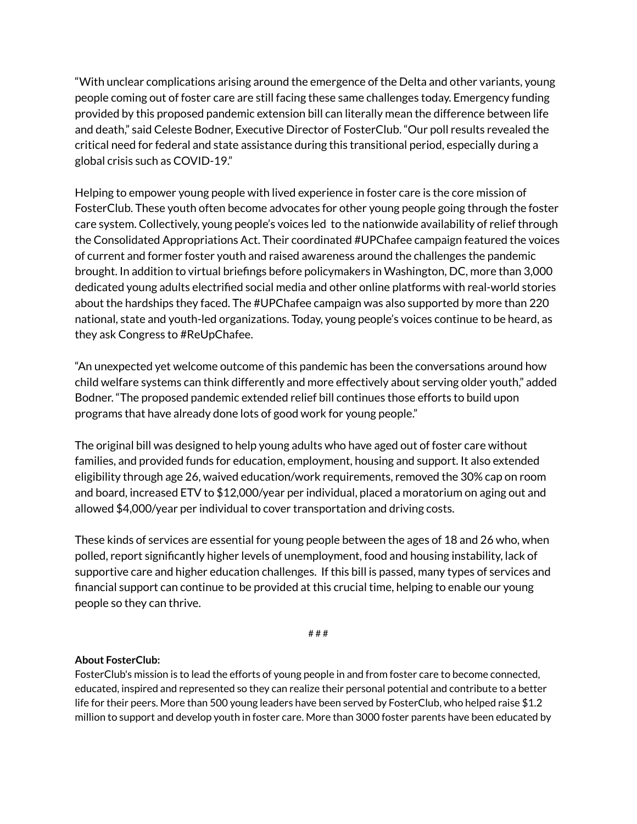"With unclear complications arising around the emergence of the Delta and other variants, young people coming out of foster care are still facing these same challenges today. Emergency funding provided by this proposed pandemic extension bill can literally mean the difference between life and death," said Celeste Bodner, Executive Director of FosterClub. "Our poll results revealed the critical need for federal and state assistance during this transitional period, especially during a global crisis such as COVID-19."

Helping to empower young people with lived experience in foster care is the core mission of FosterClub. These youth often become advocates for other young people going through the foster care system. Collectively, young people's voices led to the nationwide availability of relief through the Consolidated Appropriations Act. Their coordinated #UPChafee campaign featured the voices of current and former foster youth and raised awareness around the challenges the pandemic brought. In addition to virtual briefings before policymakers in Washington, DC, more than 3,000 dedicated young adults electrified social media and other online platforms with real-world stories about the hardships they faced. The #UPChafee campaign was also supported by more than 220 national, state and youth-led organizations. Today, young people's voices continue to be heard, as they ask Congress to #ReUpChafee.

"An unexpected yet welcome outcome of this pandemic has been the conversations around how child welfare systems can think differently and more effectively about serving older youth," added Bodner. "The proposed pandemic extended relief bill continues those efforts to build upon programs that have already done lots of good work for young people."

The original bill was designed to help young adults who have aged out of foster care without families, and provided funds for education, employment, housing and support. It also extended eligibility through age 26, waived education/work requirements, removed the 30% cap on room and board, increased ETV to \$12,000/year per individual, placed a moratorium on aging out and allowed \$4,000/year per individual to cover transportation and driving costs.

These kinds of services are essential for young people between the ages of 18 and 26 who, when polled, report significantly higher levels of unemployment, food and housing instability, lack of supportive care and higher education challenges. If this bill is passed, many types of services and financial support can continue to be provided at this crucial time, helping to enable our young people so they can thrive.

# # #

## **About FosterClub:**

FosterClub's mission is to lead the efforts of young people in and from foster care to become connected, educated, inspired and represented so they can realize their personal potential and contribute to a better life for their peers. More than 500 young leaders have been served by FosterClub, who helped raise \$1.2 million to support and develop youth in foster care. More than 3000 foster parents have been educated by